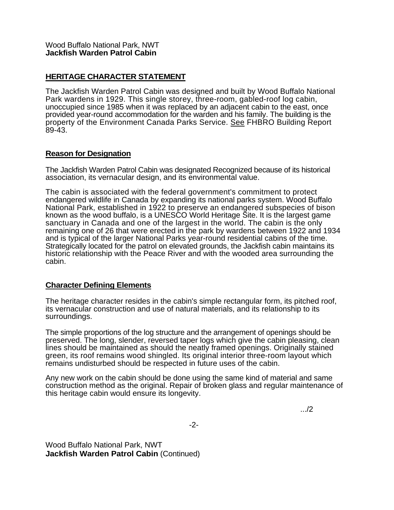## **HERITAGE CHARACTER STATEMENT**

The Jackfish Warden Patrol Cabin was designed and built by Wood Buffalo National Park wardens in 1929. This single storey, three-room, gabled-roof log cabin, unoccupied since 1985 when it was replaced by an adjacent cabin to the east, once provided year-round accommodation for the warden and his family. The building is the property of the Environment Canada Parks Service. See FHBRO Building Report 89-43.

## **Reason for Designation**

The Jackfish Warden Patrol Cabin was designated Recognized because of its historical association, its vernacular design, and its environmental value.

The cabin is associated with the federal government's commitment to protect endangered wildlife in Canada by expanding its national parks system. Wood Buffalo National Park, established in 1922 to preserve an endangered subspecies of bison known as the wood buffalo, is a UNESCO World Heritage Site. It is the largest game sanctuary in Canada and one of the largest in the world. The cabin is the only remaining one of 26 that were erected in the park by wardens between 1922 and 1934 and is typical of the larger National Parks year-round residential cabins of the time. Strategically located for the patrol on elevated grounds, the Jackfish cabin maintains its historic relationship with the Peace River and with the wooded area surrounding the cabin.

## **Character Defining Elements**

The heritage character resides in the cabin's simple rectangular form, its pitched roof, its vernacular construction and use of natural materials, and its relationship to its surroundings.

The simple proportions of the log structure and the arrangement of openings should be preserved. The long, slender, reversed taper logs which give the cabin pleasing, clean lines should be maintained as should the neatly framed openings. Originally stained green, its roof remains wood shingled. Its original interior three-room layout which remains undisturbed should be respected in future uses of the cabin.

Any new work on the cabin should be done using the same kind of material and same construction method as the original. Repair of broken glass and regular maintenance of this heritage cabin would ensure its longevity.

.../2

-2-

Wood Buffalo National Park, NWT **Jackfish Warden Patrol Cabin** (Continued)